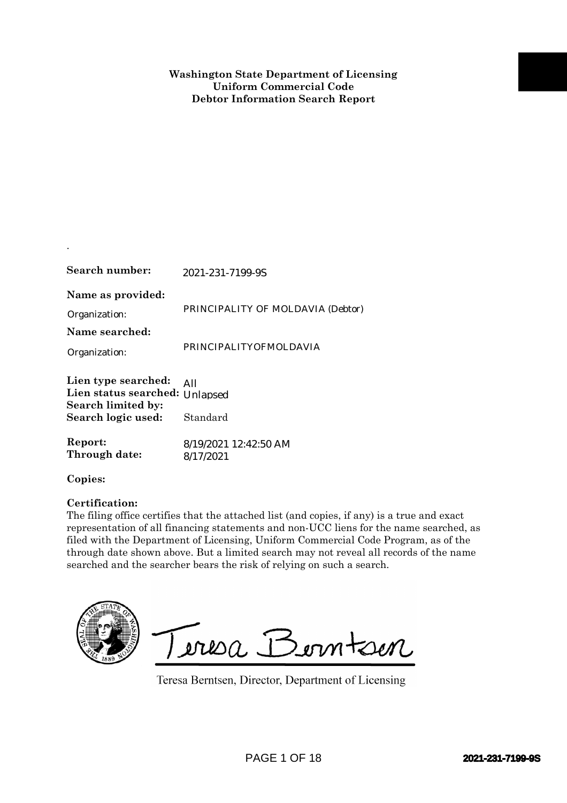| Search number:                                                                                    | 2021-231-7199-9S                                                                                                                                                                                                                                                                                                                                                                                                                              |
|---------------------------------------------------------------------------------------------------|-----------------------------------------------------------------------------------------------------------------------------------------------------------------------------------------------------------------------------------------------------------------------------------------------------------------------------------------------------------------------------------------------------------------------------------------------|
| Name as provided:<br>Organization:<br>Name searched:                                              | PRINCIPALITY OF MOLDAVIA (Debtor)                                                                                                                                                                                                                                                                                                                                                                                                             |
| Organization:                                                                                     | PRINCIPALITYOFMOLDAVIA                                                                                                                                                                                                                                                                                                                                                                                                                        |
| Lien type searched:<br>Lien status searched: Unlapsed<br>Search limited by:<br>Search logic used: | All<br>Standard                                                                                                                                                                                                                                                                                                                                                                                                                               |
| Report:<br>Through date:                                                                          | 8/19/2021 12:42:50 AM<br>8/17/2021                                                                                                                                                                                                                                                                                                                                                                                                            |
| Copies:                                                                                           |                                                                                                                                                                                                                                                                                                                                                                                                                                               |
| Certification:                                                                                    | The filing office certifies that the attached list (and copies, if any) is a true and exact<br>representation of all financing statements and non-UCC liens for the name searched, as<br>filed with the Department of Licensing, Uniform Commercial Code Program, as of the<br>through date shown above. But a limited search may not reveal all records of the name<br>searched and the searcher bears the risk of relying on such a search. |
|                                                                                                   | Teresa Berntsen<br>Teresa Berntsen, Director, Department of Licensing                                                                                                                                                                                                                                                                                                                                                                         |
|                                                                                                   | <b>PAGE 1 OF 18</b><br>2021-231-7199-9S                                                                                                                                                                                                                                                                                                                                                                                                       |

.

## **Certification:**

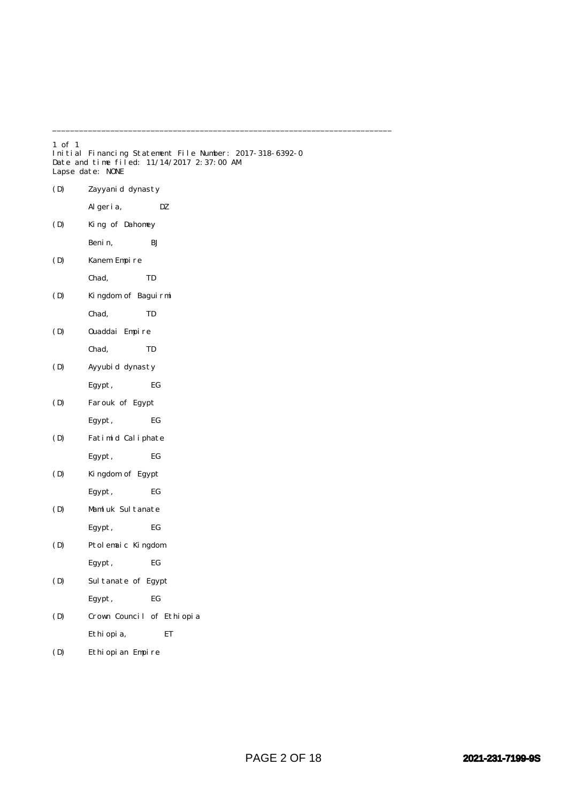| $1$ of $1$ | Lapse date: NONE          | Initial Financing Statement File Number: 2017-318-6392-0<br>Date and time filed: 11/14/2017 2:37:00 AM |
|------------|---------------------------|--------------------------------------------------------------------------------------------------------|
| (D)        | Zayyanid dynasty          |                                                                                                        |
|            | Al geri a,                | DZ                                                                                                     |
| (D)        | King of Dahomey           |                                                                                                        |
|            | Benin,                    | ВJ                                                                                                     |
| (D)        | Kanem Empire              |                                                                                                        |
|            | Chad,                     | TD                                                                                                     |
| (D)        | Kingdom of Baguirmi       |                                                                                                        |
|            | Chad,                     | TD                                                                                                     |
| (D)        | Ouaddai Empire            |                                                                                                        |
|            | Chad,                     | TD                                                                                                     |
| (D)        | Ayyubid dynasty           |                                                                                                        |
|            | Egypt,                    | EG                                                                                                     |
| (D)        | Farouk of Egypt           |                                                                                                        |
|            | Egypt,                    | EG                                                                                                     |
| (D)        | Fatimid Caliphate         |                                                                                                        |
|            | Egypt,                    | EG                                                                                                     |
| (D)        | Kingdom of Egypt          |                                                                                                        |
|            | Egypt,                    | EG                                                                                                     |
| (D)        | Mamluk Sultanate          |                                                                                                        |
|            | Egypt,                    | EG                                                                                                     |
| (D)        | Ptolemaic Kingdom         |                                                                                                        |
|            | Egypt,                    | EG                                                                                                     |
| (D)        | Sultanate of Egypt        |                                                                                                        |
|            | Egypt,                    | EG                                                                                                     |
| (D)        | Crown Council of Ethiopia |                                                                                                        |
|            | Ethi opi a,               | ET                                                                                                     |
| (D)        | Ethiopian Empire          |                                                                                                        |

\_\_\_\_\_\_\_\_\_\_\_\_\_\_\_\_\_\_\_\_\_\_\_\_\_\_\_\_\_\_\_\_\_\_\_\_\_\_\_\_\_\_\_\_\_\_\_\_\_\_\_\_\_\_\_\_\_\_\_\_\_\_\_\_\_\_\_\_\_\_\_\_\_\_\_\_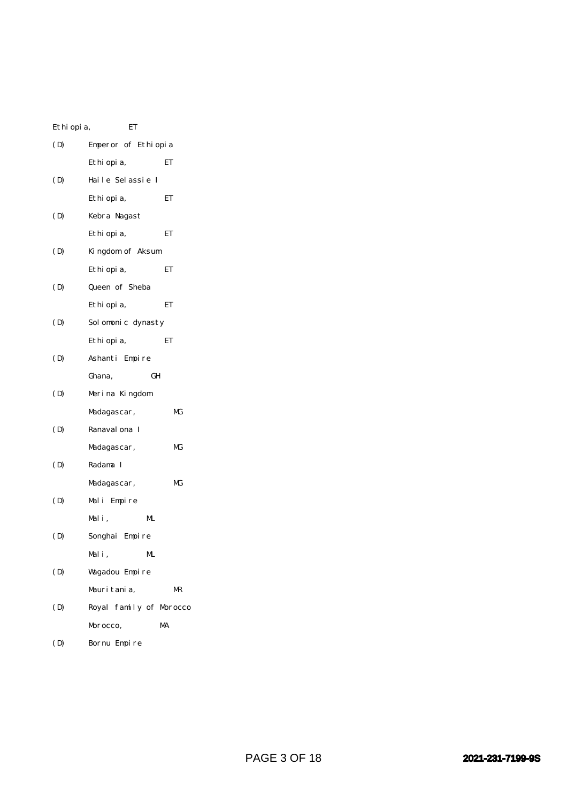| Ethi opi a, | ET                      |    |
|-------------|-------------------------|----|
| (D)         | Emperor of Ethiopia     |    |
|             | Ethi opi a,             | ET |
| (D)         | Haile Selassie I        |    |
|             | Ethi opi a,             | ЕT |
| (D)         | Kebra Nagast            |    |
|             | Ethi opi a,             | ET |
| (D)         | Kingdom of Aksum        |    |
|             | Ethi opi a,             | ET |
| (D)         | Queen of Sheba          |    |
|             | Ethi opi a,             | ET |
| (D)         | Solomonic dynasty       |    |
|             | Ethi opi a,             | ET |
| (D)         | Ashanti Empire          |    |
|             | GH<br>Ghana,            |    |
| (D)         | Merina Kingdom          |    |
|             | Madagascar,             | МG |
| (D)         | Ranaval ona I           |    |
|             | Madagascar,             | МG |
| (D)         | Radama I                |    |
|             | Madagascar,             | МG |
| (D)         | Mali Empire             |    |
|             | Mali,<br>ML             |    |
| (D)         | Songhai Empire          |    |
|             | Mali,<br>ML.            |    |
| (D)         | Wagadou Empire          |    |
|             | Mauritania.             | MR |
| (D)         | Royal family of Morocco |    |
|             | Morocco,                | MA |
| (D)         | Bornu Empire            |    |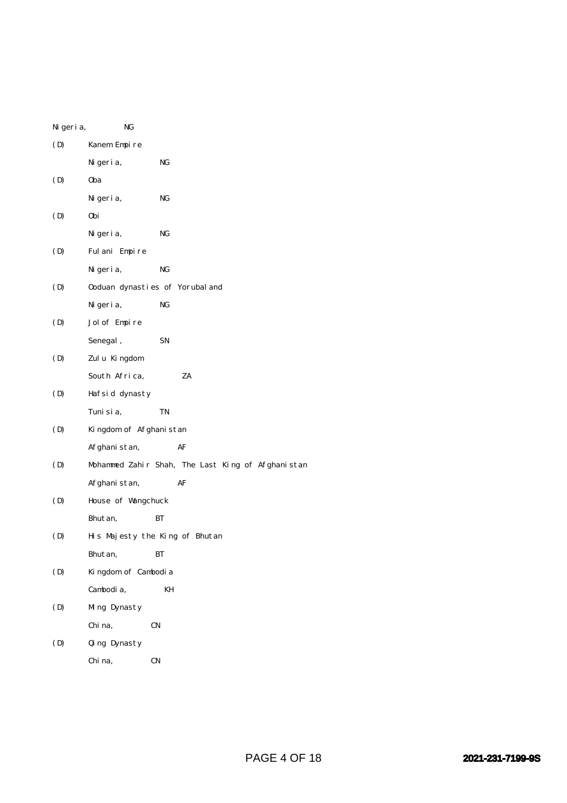| Ni geri a, | NG                                                |
|------------|---------------------------------------------------|
| (D)        | Kanem Empire                                      |
|            | Ni geri a,<br>NG                                  |
| (D)        | 0ba                                               |
|            | NG<br>Ni geri a,                                  |
| (D)        | 0bi                                               |
|            | NG<br>Ni geri a,                                  |
| (D)        | Fulani Empire                                     |
|            | NG<br>Ni geri a,                                  |
| (D)        | Ooduan dynasties of Yorubal and                   |
|            | NG<br>Ni geri a,                                  |
| (D)        | Jol of Empire                                     |
|            | Senegal,<br>SN                                    |
| (D)        | Zulu Kingdom                                      |
|            | ZA<br>South Africa,                               |
| (D)        | Hafsid dynasty                                    |
|            | TN<br>Tuni si a,                                  |
| (D)        | Kingdom of Afghanistan                            |
|            | Afghanistan,<br>AF                                |
| (D)        | Mohammed Zahir Shah, The Last King of Afghanistan |
|            | Afghanistan,<br>AF                                |
| (D)        | House of Wangchuck                                |
|            | Bhutan,<br>BТ                                     |
| (D)        | His Majesty the King of Bhutan                    |
|            | Bhut an,<br>BТ                                    |
| (D)        | Kingdom of Cambodia                               |
|            | Cambodia,<br>KH                                   |
| (D)        | Ming Dynasty                                      |
|            | Chi na,<br>CN                                     |
| (D)        | Qing Dynasty                                      |
|            | Chi na,<br>CN                                     |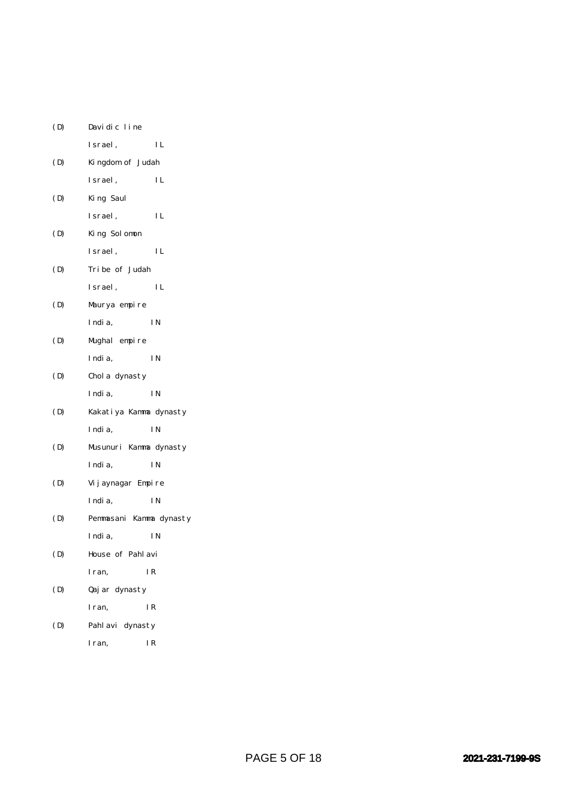| (D) | Davidic line            |                  |  |
|-----|-------------------------|------------------|--|
|     | Israel,                 | IL               |  |
| (D) |                         | Kingdom of Judah |  |
|     | Israel,                 | IL               |  |
| (D) | King Saul               |                  |  |
|     | Israel,                 | IL               |  |
| (D) | King Solomon            |                  |  |
|     | Israel,                 | IL               |  |
| (D) | Tribe of Judah          |                  |  |
|     | Israel,                 | IL               |  |
| (D) | Maurya empire           |                  |  |
|     | India,                  | ΙN               |  |
| (D) | Mughal empire           |                  |  |
|     | India,                  | <b>IN</b>        |  |
| (D) | Chol a dynasty          |                  |  |
|     | India,                  | I N              |  |
| (D) | Kakatiya Kamma dynasty  |                  |  |
|     | India,                  | I N              |  |
| (D) | Musunuri Kamma dynasty  |                  |  |
|     | India,                  | I N              |  |
| (D) | Vij aynagar Empire      |                  |  |
|     | India,                  | I N              |  |
| (D) | Pemmasani Kamma dynasty |                  |  |
|     | Indi a,                 | ΙN               |  |
| (D) |                         | House of Pahlavi |  |
|     | Iran,                   | IR               |  |
| (D) | Qaj ar dynasty          |                  |  |
|     | Iran,                   | IR               |  |
| (D) | Pahl avi dynasty        |                  |  |
|     | I ran.                  | I R              |  |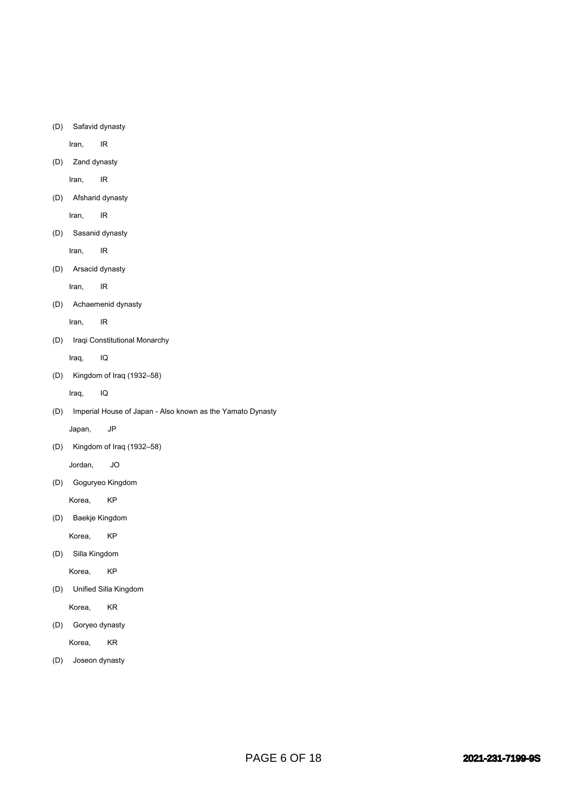(D) Safavid dynasty

Iran, IR

(D) Zand dynasty

Iran, IR

(D) Afsharid dynasty

Iran, IR

(D) Sasanid dynasty

Iran, IR

(D) Arsacid dynasty

Iran, IR

(D) Achaemenid dynasty

Iran, IR

(D) Iraqi Constitutional Monarchy

Iraq, IQ

(D) Kingdom of Iraq (1932–58)

Iraq, IQ

(D) Imperial House of Japan - Also known as the Yamato Dynasty

Japan, JP

(D) Kingdom of Iraq (1932–58)

Jordan, JO

(D) Goguryeo Kingdom

Korea, KP

(D) Baekje Kingdom

Korea, KP

(D) Silla Kingdom

Korea, KP

(D) Unified Silla Kingdom

Korea, KR

(D) Goryeo dynasty

Korea, KR

(D) Joseon dynasty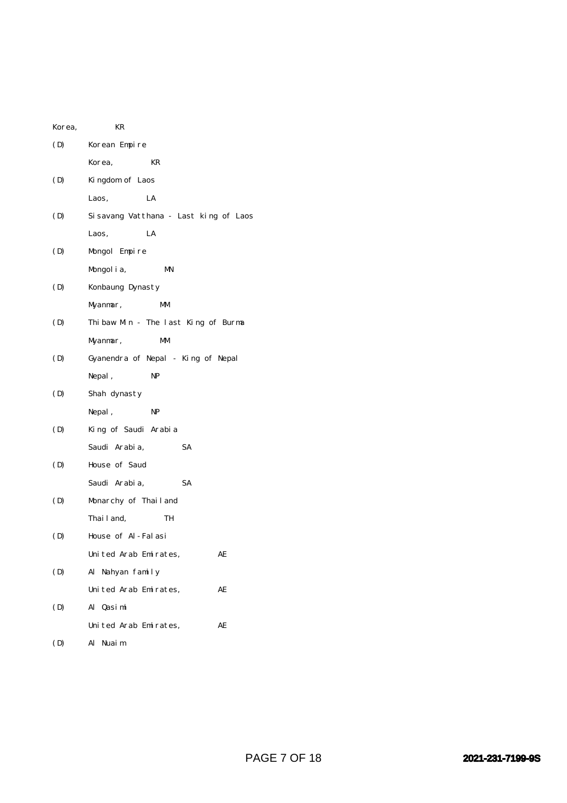| Korea, | KR                                    |
|--------|---------------------------------------|
| (D)    | Korean Empire                         |
|        | KR<br>Korea,                          |
| (D)    | Kingdom of Laos                       |
|        | LA<br>Laos,                           |
| (D)    | Sisavang Vatthana - Last king of Laos |
|        | LA<br>Laos,                           |
| (D)    | Mongol Empire                         |
|        | Mongol i a,<br>MN                     |
| (D)    | Konbaung Dynasty                      |
|        | Myanmar,<br>МM                        |
| (D)    | Thibaw Min - The last King of Burma   |
|        | Myanmar,<br>MМ                        |
| (D)    | Gyanendra of Nepal - King of Nepal    |
|        | <b>NP</b><br>Nepal,                   |
| (D)    | Shah dynasty                          |
|        | Nepal,<br>NP                          |
| (D)    | King of Saudi Arabia                  |
|        | SA<br>Saudi Arabia,                   |
| (D)    | House of Saud                         |
|        | <b>SA</b><br>Saudi Arabia,            |
| (D)    | Monarchy of Thailand                  |
|        | Thai l and,<br>TH                     |
| (D)    | House of Al-Falasi                    |
|        | United Arab Emirates,<br>AE           |
| (D)    | Al Nahyan family                      |
|        | United Arab Emirates,<br>AE           |
| (D)    | Al Qasimi                             |
|        | United Arab Emirates,<br>AE           |
| (D)    | Al Nuaim                              |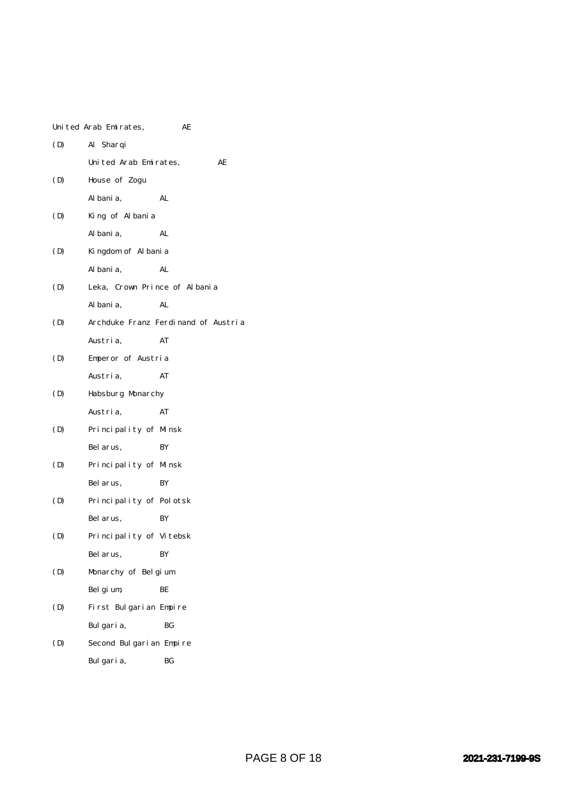|     | United Arab Emirates,         | AE                                  |
|-----|-------------------------------|-------------------------------------|
| (D) | Al Sharqi                     |                                     |
|     | United Arab Emirates,         | AЕ                                  |
| (D) | House of Zogu                 |                                     |
|     | Al bani a,                    | AL                                  |
| (D) | King of Albania               |                                     |
|     | Al bani a,                    | AL                                  |
| (D) | Kingdom of Albania            |                                     |
|     | Al bani a,                    | AL                                  |
| (D) | Leka, Crown Prince of Albania |                                     |
|     | Al bani a,                    | AL                                  |
| (D) |                               | Archduke Franz Ferdinand of Austria |
|     | Austria,                      | AT                                  |
| (D) | Emperor of Austria            |                                     |
|     | Austria,                      | AT                                  |
| (D) | Habsburg Monarchy             |                                     |
|     | Austria,                      | AT                                  |
| (D) | Principality of Minsk         |                                     |
|     | Bel arus,                     | BY                                  |
| (D) | Principality of Minsk         |                                     |
|     | Bel arus,                     | BY                                  |
| (D) | Principality of Polotsk       |                                     |
|     | Bel arus.                     | BY                                  |
| (D) | Principality of Vitebsk       |                                     |
|     | Bel arus,                     | ΒY                                  |
| (D) | Monarchy of Belgium           |                                     |
|     | Belgium,                      | BЕ                                  |
| (D) | First Bulgarian Empire        |                                     |
|     | Bulgaria,                     | BG                                  |
| (D) | Second Bulgarian Empire       |                                     |
|     | Bulgaria,                     | ВG                                  |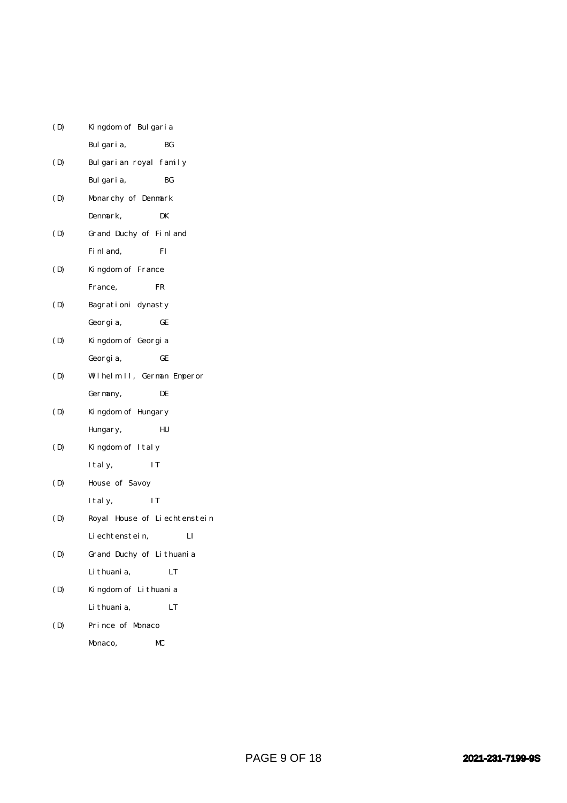| (D) | Kingdom of Bulgaria          |
|-----|------------------------------|
|     | Bulgaria,<br>ВG              |
| (D) | Bulgarian royal family       |
|     | Bulgaria,<br>BG              |
| (D) | Monarchy of Denmark          |
|     | Denmark,<br>DK               |
| (D) | Grand Duchy of Finland       |
|     | Fi nl and,<br>FI             |
| (D) | Kingdom of France            |
|     | France,<br>FR                |
| (D) | Bagrationi dynasty           |
|     | GE<br>Georgia,               |
| (D) | Kingdom of Georgia           |
|     | GE<br>Georgia,               |
| (D) | Wilhelm II, German Emperor   |
|     | DE<br>Germany,               |
| (D) | Kingdom of Hungary           |
|     | HU<br>Hungary,               |
| (D) | Kingdom of Italy             |
|     | IT<br>I tal y,               |
| (D) | House of Savoy               |
|     | ΙT<br>I tal y,               |
| (D) | Royal House of Liechtenstein |
|     | Li echtenstein,<br>LI        |
| (D) | Grand Duchy of Lithuania     |
|     | Li thuani a,<br>LT           |
| (D) | Kingdom of Lithuania         |
|     | Li thuani a,<br>LT           |
| (D) | Prince of Monaco             |
|     | MС<br>Monaco,                |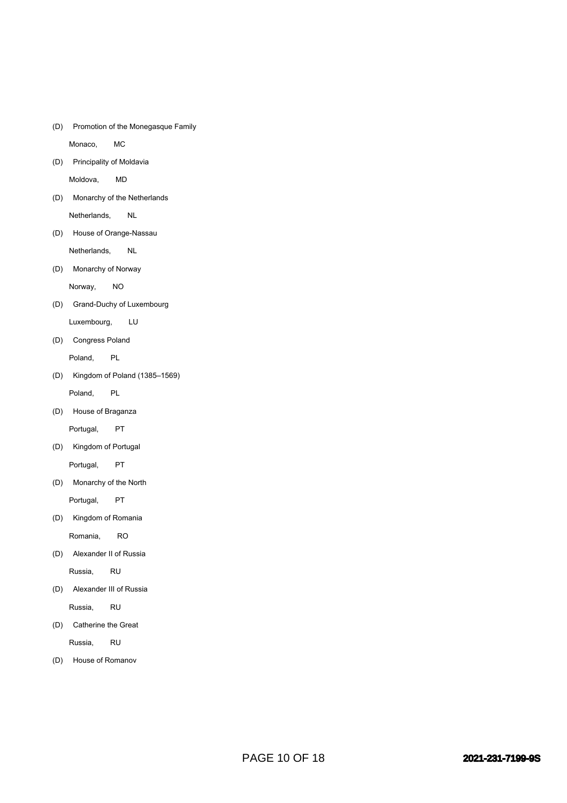(D) Promotion of the Monegasque Family

Monaco, MC

(D) Principality of Moldavia

Moldova, MD

(D) Monarchy of the Netherlands

Netherlands, NL

(D) House of Orange-Nassau

Netherlands, NL

(D) Monarchy of Norway

Norway, NO

(D) Grand-Duchy of Luxembourg

Luxembourg, LU

(D) Congress Poland

Poland, PL

(D) Kingdom of Poland (1385–1569)

Poland, PL

(D) House of Braganza

Portugal, PT

(D) Kingdom of Portugal

Portugal, PT

(D) Monarchy of the North

Portugal, PT

(D) Kingdom of Romania

Romania, RO

(D) Alexander II of Russia

Russia, RU

(D) Alexander III of Russia

Russia, RU

(D) Catherine the Great

Russia, RU

(D) House of Romanov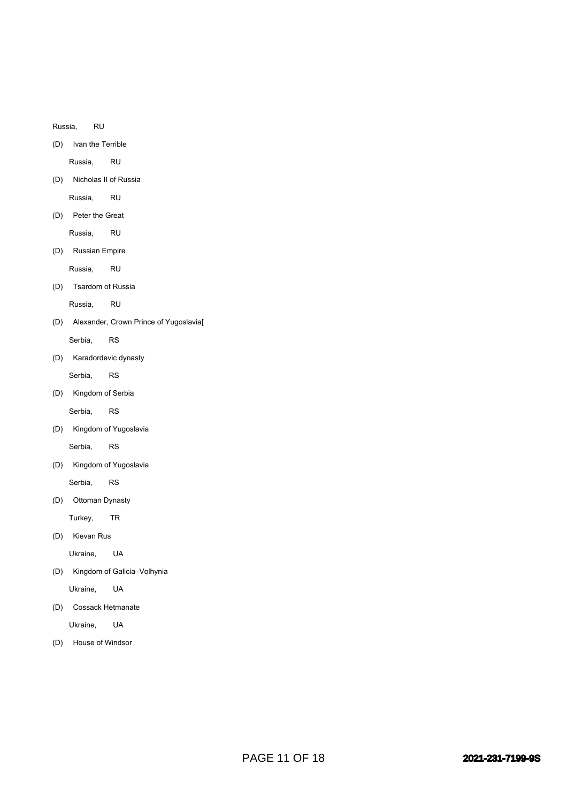Russia, RU

(D) Ivan the Terrible

Russia, RU

(D) Nicholas II of Russia

Russia, RU

(D) Peter the Great

Russia, RU

(D) Russian Empire

Russia, RU

(D) Tsardom of Russia

Russia, RU

(D) Alexander, Crown Prince of Yugoslavia[ Serbia, RS

(D) Karadordevic dynasty

Serbia, RS

(D) Kingdom of Serbia

Serbia, RS

(D) Kingdom of Yugoslavia

Serbia, RS

(D) Kingdom of Yugoslavia

Serbia, RS

(D) Ottoman Dynasty

Turkey, TR

(D) Kievan Rus

Ukraine, UA

(D) Kingdom of Galicia–Volhynia

Ukraine, UA

(D) Cossack Hetmanate

Ukraine, UA

(D) House of Windsor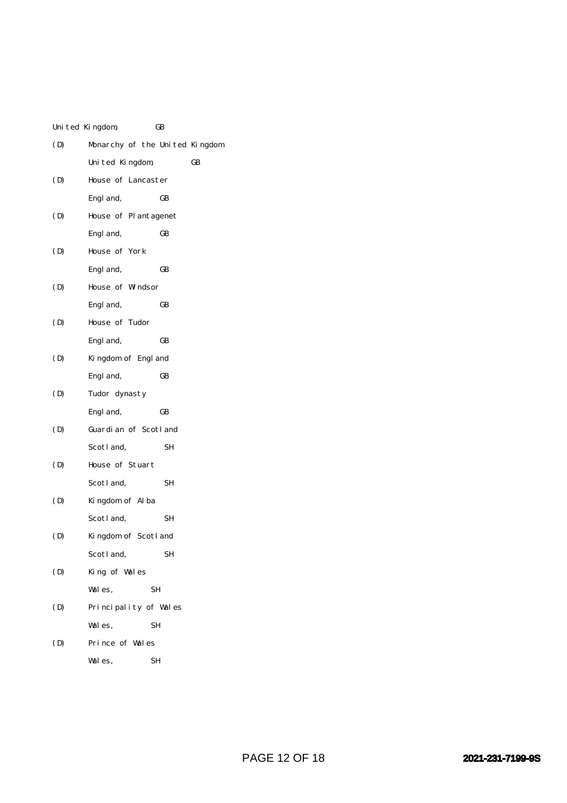|     | United Kingdom,                | GB |    |
|-----|--------------------------------|----|----|
| (D) | Monarchy of the United Kingdom |    |    |
|     | United Kingdom,                |    | GB |
| (D) | House of Lancaster             |    |    |
|     | Engl and,                      | GB |    |
| (D) | House of Plantagenet           |    |    |
|     | Engl and,                      | GB |    |
| (D) | House of York                  |    |    |
|     | Engl and,                      | GB |    |
| (D) | House of Windsor               |    |    |
|     | Engl and,                      | GB |    |
| (D) | House of Tudor                 |    |    |
|     | Engl and,                      | GB |    |
| (D) | Kingdom of Engl and            |    |    |
|     | Engl and,                      | GB |    |
| (D) | Tudor dynasty                  |    |    |
|     | Engl and,                      | GB |    |
| (D) | Guardian of Scotland           |    |    |
|     | Scotland,                      | SН |    |
| (D) | House of Stuart                |    |    |
|     | Scotl and,                     | SН |    |
| (D) | Kingdom of Alba                |    |    |
|     | Scotland,                      | SН |    |
| (D) | Kingdom of Scotland            |    |    |
|     | Scotl and,                     | SН |    |
| (D) | King of Wales                  |    |    |
|     | Wales,                         | SН |    |
| (D) | Principality of Wales          |    |    |
|     | Wales,                         | SН |    |
| (D) | Prince of Wales                |    |    |
|     | Wales,                         | SН |    |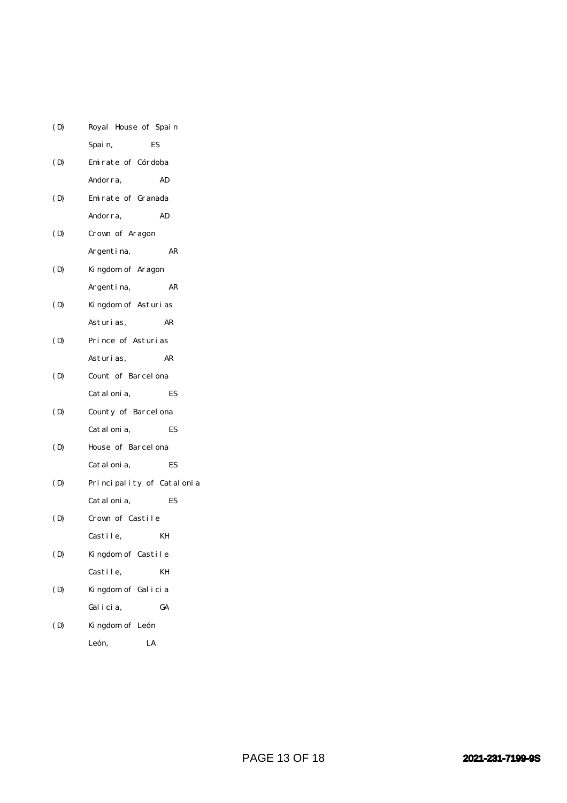| (D) | Royal House of Spain      |    |
|-----|---------------------------|----|
|     | ES<br>Spain,              |    |
| (D) | Emirate of Córdoba        |    |
|     | Andorra,                  | AD |
| (D) | Emirate of Granada        |    |
|     | Andorra,                  | AD |
| (D) | Crown of Aragon           |    |
|     | Argentina,                | AR |
| (D) | Kingdom of Aragon         |    |
|     | Argentina,                | AR |
| (D) | Kingdom of Asturias       |    |
|     | Asturi as,                | AR |
| (D) | Prince of Asturias        |    |
|     | Asturi as,                | AR |
| (D) | Count of Barcel ona       |    |
|     | Catal oni a,              | ES |
| (D) | County of Barcelona       |    |
|     | Catal oni a,              | ES |
| (D) | House of Barcel ona       |    |
|     | Catal oni a,              | ES |
| (D) | Principality of Catalonia |    |
|     | Catal oni a,              | ES |
| (D) | Crown of Castile          |    |
|     | Castile,                  | KН |
| (D) | Kingdom of Castile        |    |
|     | Castile,                  | KH |
| (D) | Kingdom of Galicia        |    |
|     | Galicia,                  | GA |
| (D) | Kingdom of León           |    |
|     | León,<br>LA               |    |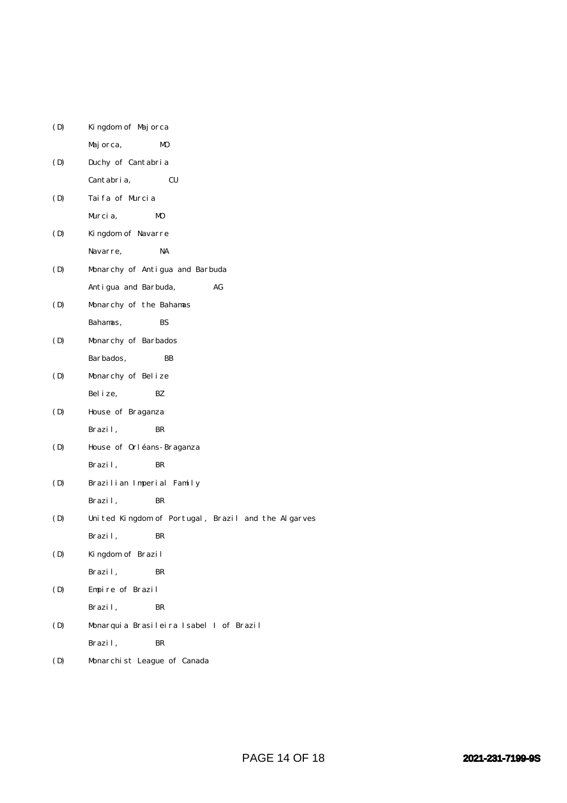| (D) | Kingdom of Majorca                                  |
|-----|-----------------------------------------------------|
|     | Majorca,<br>MO                                      |
| (D) | Duchy of Cantabria                                  |
|     | Cantabria,<br>CU                                    |
| (D) | Taifa of Murcia                                     |
|     | M <sub>0</sub><br>Murcia,                           |
| (D) | Kingdom of Navarre                                  |
|     | Navarre,<br>NA                                      |
| (D) | Monarchy of Antigua and Barbuda                     |
|     | Antigua and Barbuda,<br>AG                          |
| (D) | Monarchy of the Bahamas                             |
|     | Bahamas,<br>BS                                      |
| (D) | Monarchy of Barbados                                |
|     | Barbados,<br>BB                                     |
| (D) | Monarchy of Belize                                  |
|     | Bel i ze,<br>BZ.                                    |
| (D) | House of Braganza                                   |
|     | Brazil,<br>BR                                       |
| (D) | House of Orléans-Braganza                           |
|     | Brazil,<br>BR                                       |
| (D) | Brazilian Imperial Family                           |
|     | Brazil,<br>BR                                       |
| (D) | United Kingdom of Portugal, Brazil and the Algarves |
|     | Brazil,<br>BR                                       |
| (D) | Kingdom of Brazil                                   |
|     | Brazil,<br>BR                                       |
| (D) | Empire of Brazil                                    |
|     | Brazil,<br>BR                                       |
| (D) | Monarquia Brasileira Isabel I of Brazil             |
|     | Brazil,<br>BR                                       |
| (D) | Monarchist League of Canada                         |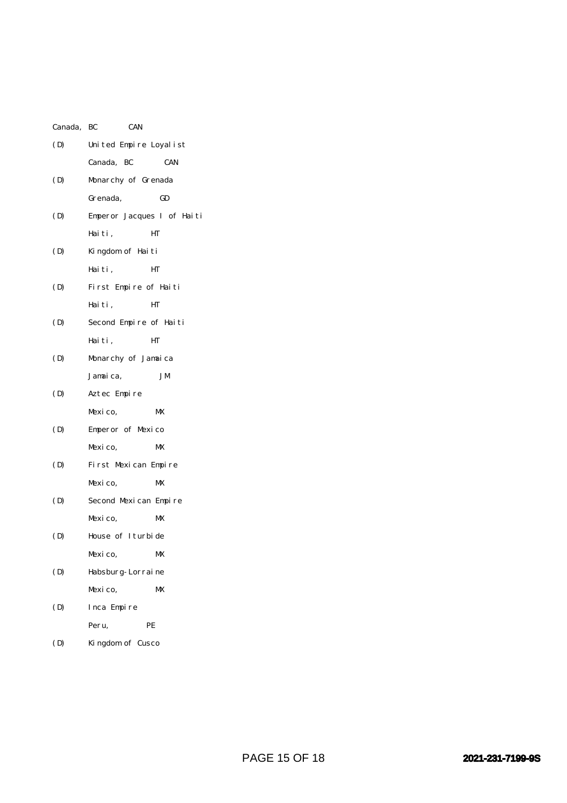| Canada, BC | <b>CAN</b>                 |            |
|------------|----------------------------|------------|
| (D)        | United Empire Loyalist     |            |
|            | Canada, BC                 | <b>CAN</b> |
| (D)        | Monarchy of Grenada        |            |
|            | Grenada,                   | GD         |
| (D)        | Emperor Jacques I of Haiti |            |
|            | Haiti,                     | HТ         |
| (D)        | Kingdom of Haiti           |            |
|            | Haiti,                     | HT         |
| (D)        | First Empire of Haiti      |            |
|            | Haiti,                     | HТ         |
| (D)        | Second Empire of Haiti     |            |
|            | Haiti,                     | HТ         |
| (D)        | Monarchy of Jamaica        |            |
|            | Jamaica,                   | JМ         |
| (D)        | Aztec Empire               |            |
|            | Mexico,                    | MX         |
| (D)        | Emperor of Mexico          |            |
|            | Mexico,                    | MX         |
| (D)        | First Mexican Empire       |            |
|            | Mexico,                    | MX         |
| (D)        | Second Mexican Empire      |            |
|            | Mexico,                    | MX         |
| (D)        | House of Iturbide          |            |
|            | Mexico,                    | MX         |
| (D)        | Habsburg-Lorraine          |            |
|            | Mexico,                    | MX         |
| (D)        | Inca Empire                |            |
|            | Peru,                      | PE         |
|            |                            |            |

(D) Kingdom of Cusco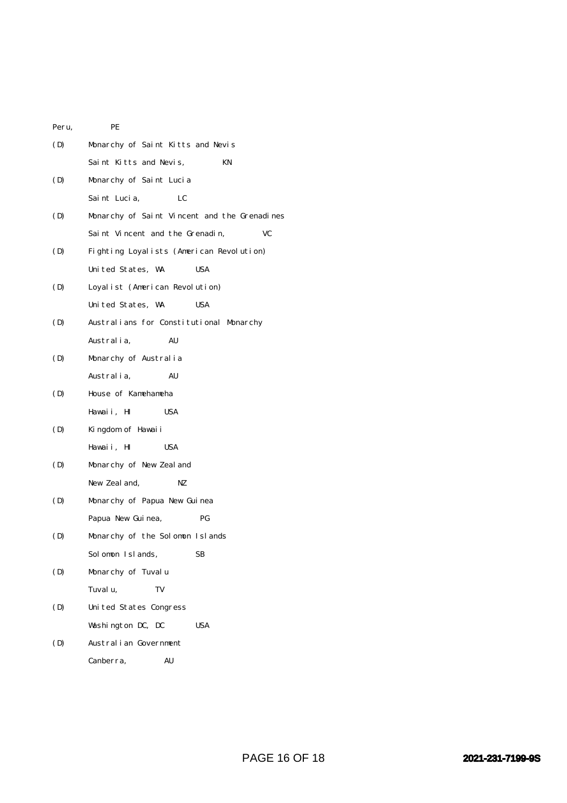| Peru, | PE                                           |  |  |  |  |
|-------|----------------------------------------------|--|--|--|--|
| (D)   | Monarchy of Saint Kitts and Nevis            |  |  |  |  |
|       | Saint Kitts and Nevis,<br>KN                 |  |  |  |  |
| (D)   | Monarchy of Saint Lucia                      |  |  |  |  |
|       | Saint Lucia,<br>LC                           |  |  |  |  |
| (D)   | Monarchy of Saint Vincent and the Grenadines |  |  |  |  |
|       | Saint Vincent and the Grenadin,<br>VC        |  |  |  |  |
| (D)   | Fighting Loyalists (American Revolution)     |  |  |  |  |
|       | United States, WA<br>USA                     |  |  |  |  |
| (D)   | Loyalist (American Revolution)               |  |  |  |  |
|       | United States, WA<br><b>USA</b>              |  |  |  |  |
| (D)   | Australians for Constitutional Monarchy      |  |  |  |  |
|       | Australia,<br>AU                             |  |  |  |  |
| (D)   | Monarchy of Australia                        |  |  |  |  |
|       | Australia,<br>AU                             |  |  |  |  |
| (D)   | House of Kamehameha                          |  |  |  |  |
|       | Hawaii, HI<br><b>USA</b>                     |  |  |  |  |
| (D)   | Kingdom of Hawaii                            |  |  |  |  |
|       | Hawaii, HI<br>USA                            |  |  |  |  |
| (D)   | Monarchy of New Zeal and                     |  |  |  |  |
|       | New Zeal and,<br>NZ                          |  |  |  |  |
| (D)   | Monarchy of Papua New Guinea                 |  |  |  |  |
|       | PG<br>Papua New Guinea,                      |  |  |  |  |
| (D)   | Monarchy of the Solomon Islands              |  |  |  |  |
|       | Solomon Islands,<br>SВ                       |  |  |  |  |
| (D)   | Monarchy of Tuvalu                           |  |  |  |  |
|       | Tuvalu,<br>TV                                |  |  |  |  |
| (D)   | United States Congress                       |  |  |  |  |
|       | Washington DC, DC<br><b>USA</b>              |  |  |  |  |
| (D)   | Australian Government                        |  |  |  |  |
|       | Canberra,<br>AU                              |  |  |  |  |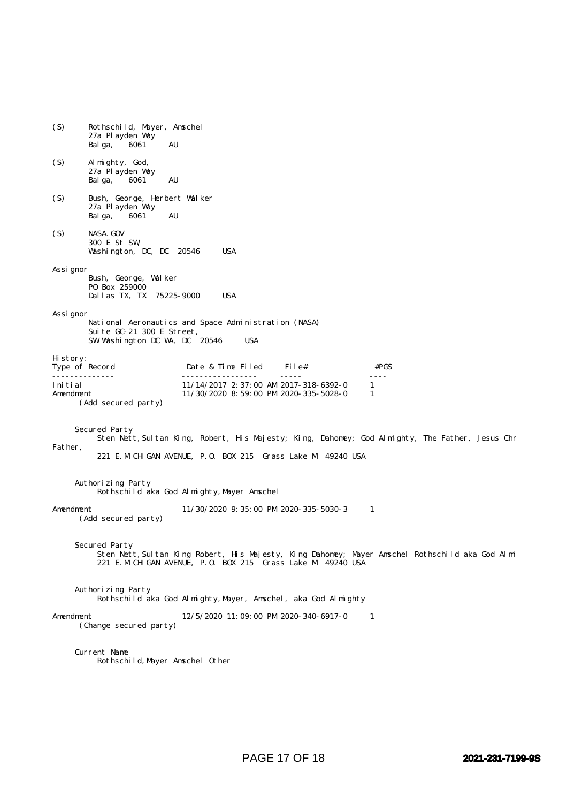| (S)                                                                                                                                                                                         | Rothschild, Mayer, Amschel<br>27a Playden Way<br>6061<br>AU<br>Bal ga,             |                                                                                       |         |                                   |  |  |
|---------------------------------------------------------------------------------------------------------------------------------------------------------------------------------------------|------------------------------------------------------------------------------------|---------------------------------------------------------------------------------------|---------|-----------------------------------|--|--|
| (S)                                                                                                                                                                                         | Al mighty, God,<br>27a Playden Way<br>6061<br>AU<br>Balga,                         |                                                                                       |         |                                   |  |  |
| (S)                                                                                                                                                                                         | Bush, George, Herbert Walker<br>27a Playden Way<br>AU<br>6061<br>Balga,            |                                                                                       |         |                                   |  |  |
| (S)                                                                                                                                                                                         | NASA. GOV<br>300 E St SW,<br><b>USA</b><br>Washington, DC, DC 20546                |                                                                                       |         |                                   |  |  |
| Assi gnor                                                                                                                                                                                   | Bush, George, Walker<br>P0 Box 259000<br>Dallas TX, TX 75225-9000                  | <b>USA</b>                                                                            |         |                                   |  |  |
| Assi gnor                                                                                                                                                                                   | Suite GC-21 300 E Street,<br>SW Washington DC WA, DC 20546                         | National Aeronautics and Space Administration (NASA)<br><b>USA</b>                    |         |                                   |  |  |
| History:<br>Type of Record                                                                                                                                                                  |                                                                                    | Date & Time Filed                                                                     | File#   | #PGS                              |  |  |
| Initial<br>Amendment                                                                                                                                                                        | (Add secured party)                                                                | $11/14/2017$ 2: 37:00 AM 2017-318-6392-0<br>$11/30/2020$ 8: 59: 00 PM 2020-335-5028-0 | $    -$ | $\omega$ is $\omega$ in<br>1<br>1 |  |  |
| Secured Party<br>Sten Nett, Sultan King, Robert, His Majesty; King, Dahomey; God Almighty, The Father, Jesus Chr<br>Father,<br>221 E. MICHIGAN AVENUE, P.O. BOX 215 Grass Lake MI 49240 USA |                                                                                    |                                                                                       |         |                                   |  |  |
| Authorizing Party<br>Rothschild aka God Almighty, Mayer Amschel                                                                                                                             |                                                                                    |                                                                                       |         |                                   |  |  |
| Amendment<br>11/30/2020 9:35:00 PM 2020-335-5030-3<br>1<br>(Add secured party)                                                                                                              |                                                                                    |                                                                                       |         |                                   |  |  |
| Secured Party<br>Sten Nett, Sultan King Robert, His Majesty, King Dahomey; Mayer Amschel Rothschild aka God Almi<br>221 E. MICHIGAN AVENUE, P.O. BOX 215 Grass Lake MI 49240 USA            |                                                                                    |                                                                                       |         |                                   |  |  |
|                                                                                                                                                                                             | Authorizing Party<br>Rothschild aka God Almighty, Mayer, Amschel, aka God Almighty |                                                                                       |         |                                   |  |  |
| 12/5/2020 11:09:00 PM 2020-340-6917-0<br>Amendment<br>-1<br>(Change secured party)                                                                                                          |                                                                                    |                                                                                       |         |                                   |  |  |
| Current Name<br>Rothschild, Mayer Amschel Other                                                                                                                                             |                                                                                    |                                                                                       |         |                                   |  |  |